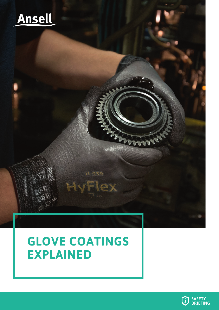

# **GLOVE COATINGS EXPLAINED**

11-939

OX

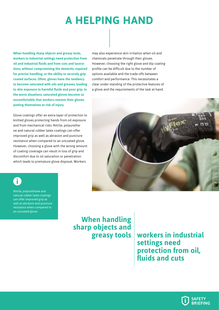## **A HELPING HAND**

**When handling sharp objects and greasy tools, workers in industrial settings need protection from oil and industrial fluids and from cuts and lacerations, without compromising the dexterity required for precise handling, or the ability to securely grip coated surfaces. Often, gloves have the tendency to become saturated with oils and greases, leading to skin exposure to harmful fluids and poor grip. In the worst situations, saturated gloves become so uncomfortable that workers remove their gloves, putting themselves at risk of injury.**

Glove coatings offer an extra layer of protection to knitted gloves protecting hands from oil exposure and from mechanical risks. Nitrile, polyurethane and natural rubber latex coatings can offer improved grip as well as abrasion and puncture resistance when compared to an uncoated glove. However, choosing a glove with the wrong amount of coating coverage can result in loss of grip and discomfort due to oil saturation or penetration which leads to premature glove disposal. Workers

**i i**

Nitrile, polyurethane and natural rubber latex coatings can offer improved grip as well as abrasion and puncture resistance when compared to an uncoated glove.

may also experience skin irritation when oil and chemicals penetrate through their gloves. However, choosing the right glove and dip coating profile can be difficult due to the number of options available and the trade-offs between comfort and performance. This necessitates a clear under-standing of the protective features of a glove and the requirements of the task at hand.



**When handling sharp objects and** 

**greasy tools workers in industrial settings need protection from oil, fluids and cuts**

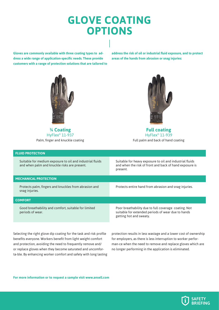### **GLOVE COATING OPTIONS**

**Gloves are commonly available with three coating types to address a wide range of application-specific needs. These provide customers with a range of protection solutions that are tailored to**  **address the risk of oil or industrial fluid exposure, and to protect areas of the hands from abrasion or snag injuries:** 



**¾ Coating**  HyFlex® 11-937 Palm, finger and knuckle coating



**Full coating**  HyFlex® 11-939 Full palm and back of hand coating

#### **FLUID PROTECTION**

Suitable for medium exposure to oil and industrial fluids and when palm and knuckle risks are present.

Suitable for heavy exposure to oil and industrial fluids and when the risk of front and back of hand exposure is present.

#### **MECHANICAL PROTECTION**

Protects palm, fingers and knuckles from abrasion and snag injuries.

Protects entire hand from abrasion and snag injuries.

#### **COMFORT**

Good breathability and comfort, suitable for limited periods of wear.

Poor breathability due to full coverage coating. Not suitable for extended periods of wear due to hands getting hot and sweaty.

Selecting the right glove dip coating for the task and risk profile benefits everyone. Workers benefit from light weight comfort and protection, avoiding the need to frequently remove and/ or replace gloves when they become saturated and uncomforta-ble. By enhancing worker comfort and safety with long lasting protection results in less wastage and a lower cost of ownership for employers, as there is less interruption to worker performan-ce when the need to remove and replace gloves which are no longer performing in the application is eliminated.